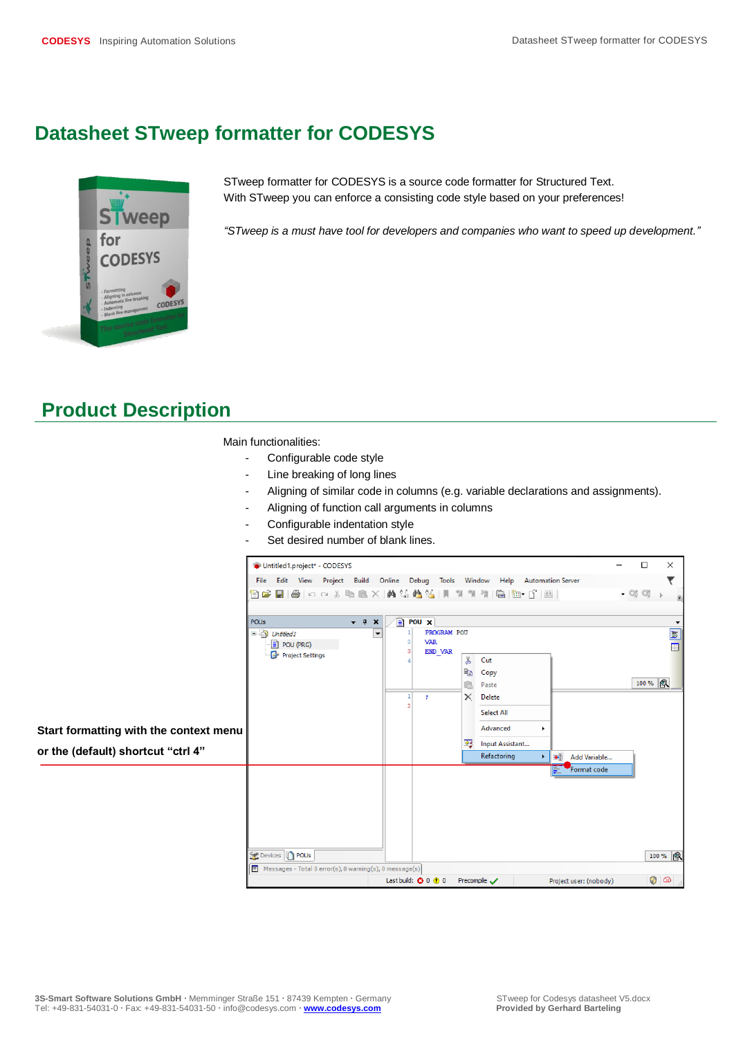## **Datasheet STweep formatter for CODESYS**



STweep formatter for CODESYS is a source code formatter for Structured Text. With STweep you can enforce a consisting code style based on your preferences!

*"STweep is a must have tool for developers and companies who want to speed up development."*

## **Product Description**

Main functionalities:

- Configurable code style
- Line breaking of long lines
- Aligning of similar code in columns (e.g. variable declarations and assignments).
- Aligning of function call arguments in columns
- Configurable indentation style
- Set desired number of blank lines.

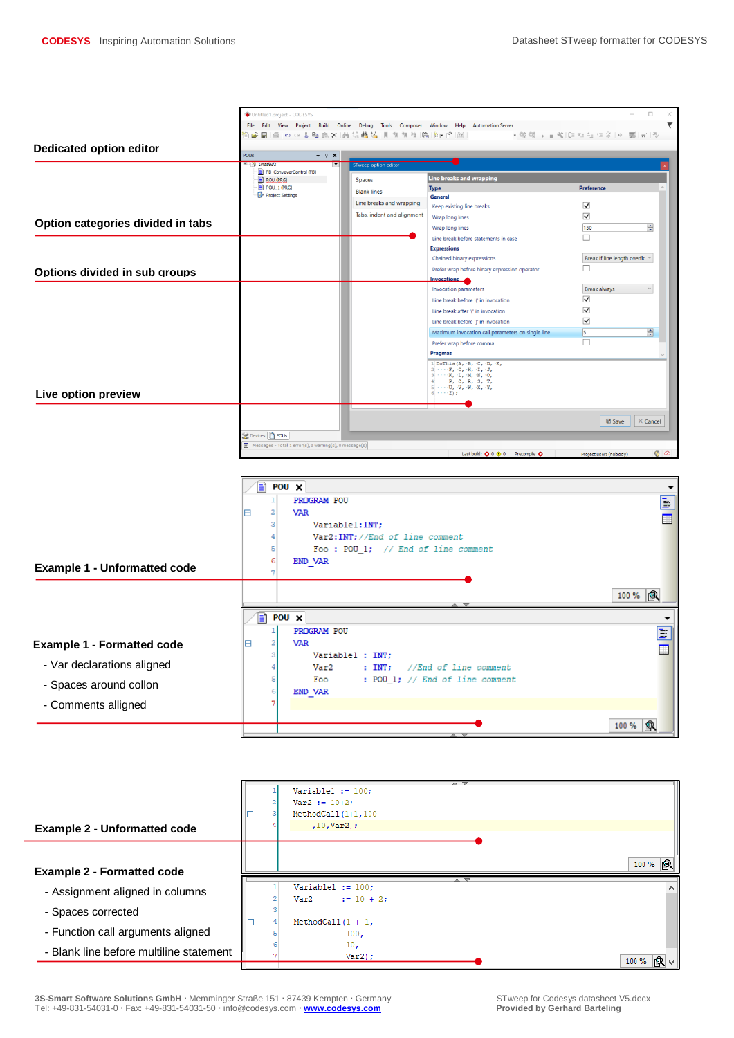



**3S-Smart Software Solutions GmbH**  $\cdot$  Memminger Straße 151  $\cdot$  87439 Kempten  $\cdot$  Germany STweep for Codesys datasheet V5.docx<br>
Tel: +49-831-54031-0  $\cdot$  Fax: +49-831-54031-50  $\cdot$  info@codesys.com  $\cdot$  www.codesys.com Tel: +49-831-54031-0 · Fax: +49-831-54031-50 · info@codesys.com · **www.codesys.com**